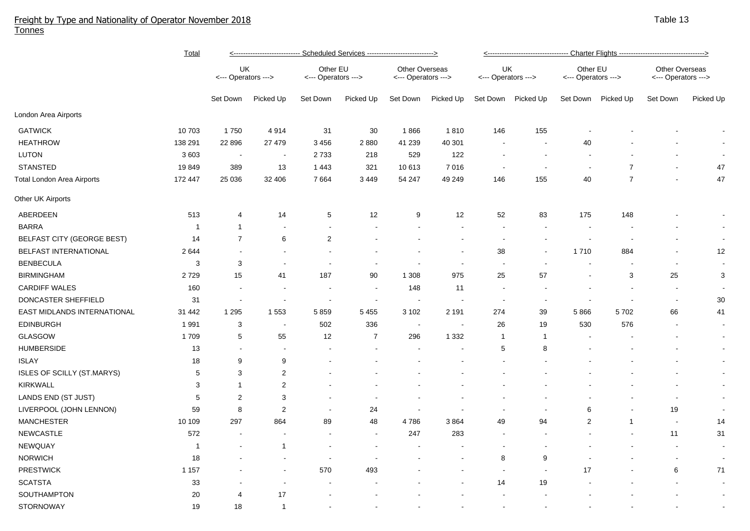## Freight by Type and Nationality of Operator November 2018 Tonnes

|                             | <b>Total</b> | <---------------------------- Scheduled Services ---------------------------> |                          |                                 |           |                                              |                |                           |                          |                                 |                |                                              |                |  |  |
|-----------------------------|--------------|-------------------------------------------------------------------------------|--------------------------|---------------------------------|-----------|----------------------------------------------|----------------|---------------------------|--------------------------|---------------------------------|----------------|----------------------------------------------|----------------|--|--|
|                             |              | UK<br><--- Operators --->                                                     |                          | Other EU<br><--- Operators ---> |           | <b>Other Overseas</b><br><--- Operators ---> |                | UK<br><--- Operators ---> |                          | Other EU<br><--- Operators ---> |                | <b>Other Overseas</b><br><--- Operators ---> |                |  |  |
|                             |              | Set Down                                                                      | Picked Up                | Set Down                        | Picked Up | Set Down                                     | Picked Up      | Set Down                  | Picked Up                | Set Down                        | Picked Up      | Set Down                                     | Picked Up      |  |  |
| London Area Airports        |              |                                                                               |                          |                                 |           |                                              |                |                           |                          |                                 |                |                                              |                |  |  |
| <b>GATWICK</b>              | 10 703       | 1750                                                                          | 4914                     | 31                              | 30        | 1866                                         | 1810           | 146                       | 155                      |                                 |                |                                              |                |  |  |
| <b>HEATHROW</b>             | 138 291      | 22 8 9 6                                                                      | 27 479                   | 3456                            | 2880      | 41 239                                       | 40 301         |                           |                          | $40\,$                          |                |                                              |                |  |  |
| <b>LUTON</b>                | 3 603        | $\sim$                                                                        | $\overline{\phantom{a}}$ | 2733                            | 218       | 529                                          | 122            |                           | $\overline{\phantom{a}}$ |                                 |                |                                              |                |  |  |
| <b>STANSTED</b>             | 19849        | 389                                                                           | 13                       | 1 4 4 3                         | 321       | 10 613                                       | 7016           |                           | $\overline{\phantom{a}}$ |                                 | $\overline{7}$ |                                              | 47             |  |  |
| Total London Area Airports  | 172 447      | 25 0 36                                                                       | 32 406                   | 7664                            | 3 4 4 9   | 54 247                                       | 49 249         | 146                       | 155                      | 40                              | $\overline{7}$ |                                              | 47             |  |  |
| Other UK Airports           |              |                                                                               |                          |                                 |           |                                              |                |                           |                          |                                 |                |                                              |                |  |  |
| ABERDEEN                    | 513          | 4                                                                             | 14                       | 5                               | 12        | 9                                            | 12             | 52                        | 83                       | 175                             | 148            |                                              | $\blacksquare$ |  |  |
| <b>BARRA</b>                | $\mathbf{1}$ | $\mathbf{1}$                                                                  | $\overline{\phantom{a}}$ | $\overline{\phantom{a}}$        |           |                                              | $\blacksquare$ |                           |                          | $\blacksquare$                  |                |                                              | $\sim$         |  |  |
| BELFAST CITY (GEORGE BEST)  | 14           | $\overline{7}$                                                                | 6                        | $\overline{c}$                  |           |                                              |                |                           |                          |                                 |                |                                              | $\blacksquare$ |  |  |
| BELFAST INTERNATIONAL       | 2644         |                                                                               |                          |                                 |           |                                              |                | 38                        |                          | 1710                            | 884            |                                              | 12             |  |  |
| <b>BENBECULA</b>            | 3            | 3                                                                             | $\overline{\phantom{a}}$ |                                 |           |                                              |                |                           |                          |                                 |                | $\blacksquare$                               | $\blacksquare$ |  |  |
| <b>BIRMINGHAM</b>           | 2729         | 15                                                                            | 41                       | 187                             | 90        | 1 3 0 8                                      | 975            | 25                        | 57                       |                                 | 3              | 25                                           | 3              |  |  |
| <b>CARDIFF WALES</b>        | 160          | $\sim$                                                                        |                          |                                 |           | 148                                          | 11             |                           |                          |                                 |                | $\overline{\phantom{a}}$                     |                |  |  |
| DONCASTER SHEFFIELD         | 31           |                                                                               |                          |                                 |           |                                              |                |                           |                          |                                 |                | $\sim$                                       | $30\,$         |  |  |
| EAST MIDLANDS INTERNATIONAL | 31 442       | 1 2 9 5                                                                       | 1 5 5 3                  | 5859                            | 5 4 5 5   | 3 1 0 2                                      | 2 1 9 1        | 274                       | 39                       | 5866                            | 5702           | 66                                           | 41             |  |  |
| <b>EDINBURGH</b>            | 1991         | 3                                                                             | $\overline{\phantom{a}}$ | 502                             | 336       | $\overline{\phantom{a}}$                     |                | 26                        | 19                       | 530                             | 576            |                                              | $\sim$         |  |  |
| <b>GLASGOW</b>              | 1709         | 5                                                                             | 55                       | 12                              | 7         | 296                                          | 1 3 3 2        | $\overline{1}$            | $\mathbf{1}$             |                                 |                |                                              | $\blacksquare$ |  |  |
| <b>HUMBERSIDE</b>           | 13           | $\overline{\phantom{a}}$                                                      | $\blacksquare$           |                                 |           |                                              |                | 5                         | 8                        |                                 |                |                                              | $\blacksquare$ |  |  |
| <b>ISLAY</b>                | 18           | 9                                                                             | 9                        |                                 |           |                                              |                |                           |                          |                                 |                |                                              | $\sim$         |  |  |
| ISLES OF SCILLY (ST.MARYS)  | 5            | 3                                                                             | $\overline{2}$           |                                 |           |                                              |                |                           |                          |                                 |                |                                              | $\blacksquare$ |  |  |
| <b>KIRKWALL</b>             | 3            | $\mathbf{1}$                                                                  | $\overline{2}$           |                                 |           |                                              |                |                           |                          |                                 |                |                                              | $\blacksquare$ |  |  |
| LANDS END (ST JUST)         | $\mathbf 5$  | $\overline{c}$                                                                | 3                        |                                 |           |                                              |                |                           |                          |                                 |                |                                              | $\sim$         |  |  |
| LIVERPOOL (JOHN LENNON)     | 59           | 8                                                                             | 2                        |                                 | 24        |                                              |                |                           |                          | 6                               |                | 19                                           | $\blacksquare$ |  |  |
| <b>MANCHESTER</b>           | 10 109       | 297                                                                           | 864                      | 89                              | 48        | 4786                                         | 3864           | 49                        | 94                       | $\overline{2}$                  | $\overline{1}$ | $\sim$                                       | 14             |  |  |
| <b>NEWCASTLE</b>            | 572          | $\sim$                                                                        |                          |                                 |           | 247                                          | 283            |                           |                          |                                 |                | 11                                           | 31             |  |  |
| NEWQUAY                     | 1            |                                                                               | $\overline{1}$           |                                 |           |                                              |                |                           |                          |                                 |                | $\overline{\phantom{a}}$                     | $\blacksquare$ |  |  |
| <b>NORWICH</b>              | 18           |                                                                               |                          |                                 |           |                                              |                | 8                         | 9                        |                                 |                | $\overline{\phantom{a}}$                     | $\bullet$      |  |  |
| <b>PRESTWICK</b>            | 1 1 5 7      |                                                                               |                          | 570                             | 493       |                                              |                |                           |                          | 17                              |                | 6                                            | 71             |  |  |
| <b>SCATSTA</b>              | 33           |                                                                               |                          |                                 |           |                                              |                | 14                        | 19                       |                                 |                |                                              | $\blacksquare$ |  |  |
| SOUTHAMPTON                 | 20           | $\overline{4}$                                                                | 17                       |                                 |           |                                              |                |                           |                          |                                 |                |                                              | $\blacksquare$ |  |  |
| <b>STORNOWAY</b>            | 19           | 18                                                                            | $\mathbf{1}$             |                                 |           |                                              |                |                           |                          |                                 |                |                                              |                |  |  |